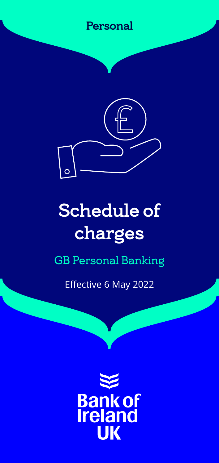### Personal



# Schedule of charges

### GB Personal Banking

Effective 6 May 2022

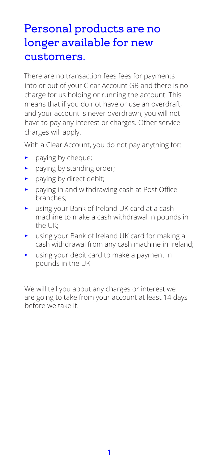### Personal products are no longer available for new customers.

There are no transaction fees fees for payments into or out of your Clear Account GB and there is no charge for us holding or running the account. This means that if you do not have or use an overdraft, and your account is never overdrawn, you will not have to pay any interest or charges. Other service charges will apply.

With a Clear Account, you do not pay anything for:

- paying by cheque;
- paying by standing order;
- $\blacktriangleright$  paying by direct debit;
- paying in and withdrawing cash at Post Office branches;
- using your Bank of Ireland UK card at a cash machine to make a cash withdrawal in pounds in the UK;
- using your Bank of Ireland UK card for making a cash withdrawal from any cash machine in Ireland;
- using your debit card to make a payment in pounds in the UK

We will tell you about any charges or interest we are going to take from your account at least 14 days before we take it.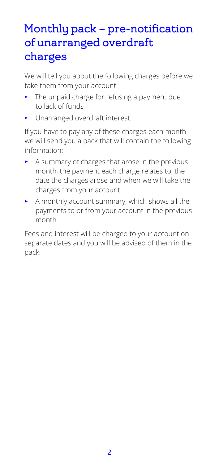## Monthly pack – pre-notification of unarranged overdraft charges

We will tell you about the following charges before we take them from your account:

- The unpaid charge for refusing a payment due to lack of funds
- Unarranged overdraft interest.

If you have to pay any of these charges each month we will send you a pack that will contain the following information:

- $\blacktriangleright$  A summary of charges that arose in the previous month, the payment each charge relates to, the date the charges arose and when we will take the charges from your account
- A monthly account summary, which shows all the payments to or from your account in the previous month.

Fees and interest will be charged to your account on separate dates and you will be advised of them in the pack.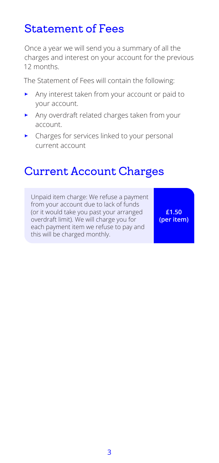### Statement of Fees

Once a year we will send you a summary of all the charges and interest on your account for the previous 12 months.

The Statement of Fees will contain the following:

- Any interest taken from your account or paid to your account.
- Any overdraft related charges taken from your account.
- Charges for services linked to your personal current account

### Current Account Charges

Unpaid item charge: We refuse a payment from your account due to lack of funds (or it would take you past your arranged overdraft limit). We will charge you for each payment item we refuse to pay and this will be charged monthly.

**£1.50 (per item)**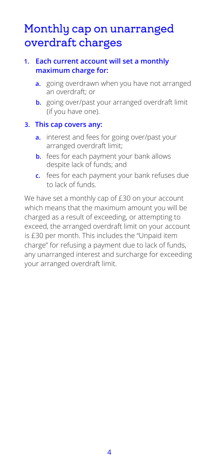### Monthly cap on unarranged overdraft charges

#### **1. Each current account will set a monthly maximum charge for:**

- **a.** going overdrawn when you have not arranged an overdraft; or
- **b.** going over/past your arranged overdraft limit (if you have one).

#### **3. This cap covers any:**

- **a.** interest and fees for going over/past your arranged overdraft limit;
- **b.** fees for each payment your bank allows despite lack of funds; and
- **c.** fees for each payment your bank refuses due to lack of funds.

We have set a monthly cap of £30 on your account which means that the maximum amount you will be charged as a result of exceeding, or attempting to exceed, the arranged overdraft limit on your account is £30 per month. This includes the "Unpaid item charge" for refusing a payment due to lack of funds, any unarranged interest and surcharge for exceeding your arranged overdraft limit.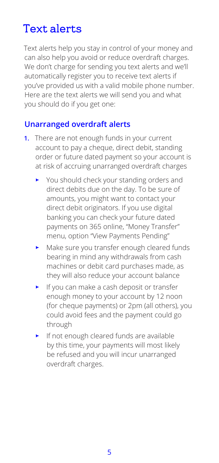### Text alerts

Text alerts help you stay in control of your money and can also help you avoid or reduce overdraft charges. We don't charge for sending you text alerts and we'll automatically register you to receive text alerts if you've provided us with a valid mobile phone number. Here are the text alerts we will send you and what you should do if you get one:

#### **Unarranged overdraft alerts**

- **1.** There are not enough funds in your current account to pay a cheque, direct debit, standing order or future dated payment so your account is at risk of accruing unarranged overdraft charges
	- You should check your standing orders and direct debits due on the day. To be sure of amounts, you might want to contact your direct debit originators. If you use digital banking you can check your future dated payments on 365 online, "Money Transfer" menu, option "View Payments Pending"
	- Make sure you transfer enough cleared funds bearing in mind any withdrawals from cash machines or debit card purchases made, as they will also reduce your account balance
	- If you can make a cash deposit or transfer enough money to your account by 12 noon (for cheque payments) or 2pm (all others), you could avoid fees and the payment could go through
	- If not enough cleared funds are available by this time, your payments will most likely be refused and you will incur unarranged overdraft charges.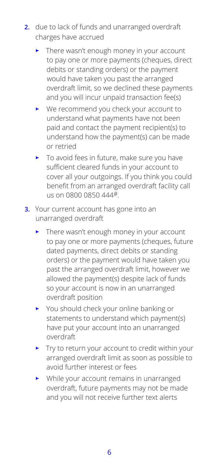- **2.** due to lack of funds and unarranged overdraft charges have accrued
	- $\blacktriangleright$  There wasn't enough money in your account to pay one or more payments (cheques, direct debits or standing orders) or the payment would have taken you past the arranged overdraft limit, so we declined these payments and you will incur unpaid transaction fee(s)
	- We recommend you check your account to understand what payments have not been paid and contact the payment recipient(s) to understand how the payment(s) can be made or retried
	- To avoid fees in future, make sure you have sufficient cleared funds in your account to cover all your outgoings. If you think you could benefit from an arranged overdraft facility call us on 0800 0850 444#
- **3.** Your current account has gone into an unarranged overdraft
	- $\blacktriangleright$  There wasn't enough money in your account to pay one or more payments (cheques, future dated payments, direct debits or standing orders) or the payment would have taken you past the arranged overdraft limit, however we allowed the payment(s) despite lack of funds so your account is now in an unarranged overdraft position
	- You should check your online banking or statements to understand which payment(s) have put your account into an unarranged overdraft
	- Try to return your account to credit within your arranged overdraft limit as soon as possible to avoid further interest or fees
	- While your account remains in unarranged overdraft, future payments may not be made and you will not receive further text alerts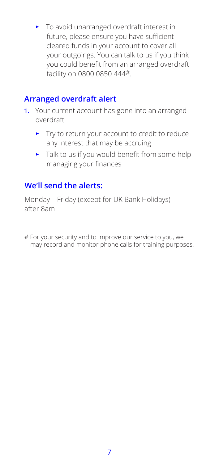• To avoid unarranged overdraft interest in future, please ensure you have sufficient cleared funds in your account to cover all your outgoings. You can talk to us if you think you could benefit from an arranged overdraft facility on 0800 0850 444#.

#### **Arranged overdraft alert**

- **1.** Your current account has gone into an arranged overdraft
	- Try to return your account to credit to reduce any interest that may be accruing
	- $\blacktriangleright$  Talk to us if you would benefit from some help managing your finances

#### **We'll send the alerts:**

Monday – Friday (except for UK Bank Holidays) after 8am

# For your security and to improve our service to you, we may record and monitor phone calls for training purposes.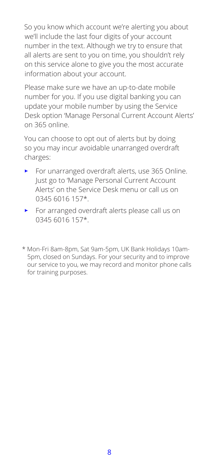So you know which account we're alerting you about we'll include the last four digits of your account number in the text. Although we try to ensure that all alerts are sent to you on time, you shouldn't rely on this service alone to give you the most accurate information about your account.

Please make sure we have an up-to-date mobile number for you. If you use digital banking you can update your mobile number by using the Service Desk option 'Manage Personal Current Account Alerts' on 365 online.

You can choose to opt out of alerts but by doing so you may incur avoidable unarranged overdraft charges:

- For unarranged overdraft alerts, use 365 Online. Just go to 'Manage Personal Current Account Alerts' on the Service Desk menu or call us on 0345 6016 157\*.
- For arranged overdraft alerts please call us on 0345 6016 157\*.
- \* Mon-Fri 8am-8pm, Sat 9am-5pm, UK Bank Holidays 10am-5pm, closed on Sundays. For your security and to improve our service to you, we may record and monitor phone calls for training purposes.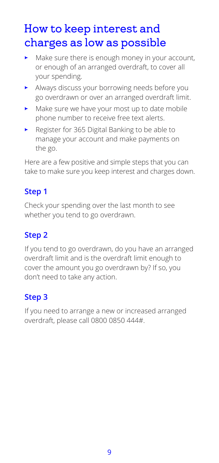## How to keep interest and charges as low as possible

- $\blacktriangleright$  Make sure there is enough money in your account. or enough of an arranged overdraft, to cover all your spending.
- Always discuss your borrowing needs before you go overdrawn or over an arranged overdraft limit.
- Make sure we have your most up to date mobile phone number to receive free text alerts.
- Register for 365 Digital Banking to be able to manage your account and make payments on the go.

Here are a few positive and simple steps that you can take to make sure you keep interest and charges down.

#### **Step 1**

Check your spending over the last month to see whether you tend to go overdrawn.

#### **Step 2**

If you tend to go overdrawn, do you have an arranged overdraft limit and is the overdraft limit enough to cover the amount you go overdrawn by? If so, you don't need to take any action.

#### **Step 3**

If you need to arrange a new or increased arranged overdraft, please call 0800 0850 444#.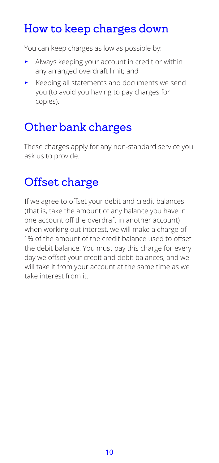## How to keep charges down

You can keep charges as low as possible by:

- Always keeping your account in credit or within any arranged overdraft limit; and
- Keeping all statements and documents we send you (to avoid you having to pay charges for copies).

# Other bank charges

These charges apply for any non-standard service you ask us to provide.

# Offset charge

If we agree to offset your debit and credit balances (that is, take the amount of any balance you have in one account off the overdraft in another account) when working out interest, we will make a charge of 1% of the amount of the credit balance used to offset the debit balance. You must pay this charge for every day we offset your credit and debit balances, and we will take it from your account at the same time as we take interest from it.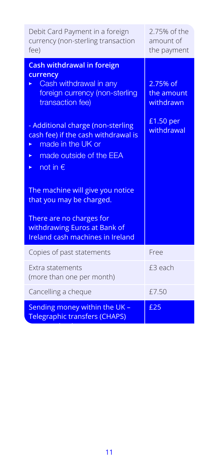| Debit Card Payment in a foreign<br>currency (non-sterling transaction<br>fee)                                                                                                                                                                                                   | 2.75% of the<br>amount of<br>the payment                       |
|---------------------------------------------------------------------------------------------------------------------------------------------------------------------------------------------------------------------------------------------------------------------------------|----------------------------------------------------------------|
| <b>Cash withdrawal in foreign</b><br>currency<br>Cash withdrawal in any<br>foreign currency (non-sterling<br>transaction fee)<br>- Additional charge (non-sterling<br>cash fee) if the cash withdrawal is<br>made in the UK or<br>made outside of the EEA<br>►<br>not in €<br>► | 2.75% of<br>the amount<br>withdrawn<br>£1.50 per<br>withdrawal |
| The machine will give you notice<br>that you may be charged.                                                                                                                                                                                                                    |                                                                |
| There are no charges for<br>withdrawing Euros at Bank of<br>Ireland cash machines in Ireland                                                                                                                                                                                    |                                                                |
| Copies of past statements                                                                                                                                                                                                                                                       | Free                                                           |
| Extra statements<br>(more than one per month)                                                                                                                                                                                                                                   | £3 each                                                        |
| Cancelling a cheque                                                                                                                                                                                                                                                             | £7.50                                                          |
| Sending money within the UK -<br><b>Telegraphic transfers (CHAPS)</b>                                                                                                                                                                                                           | £25                                                            |

between banks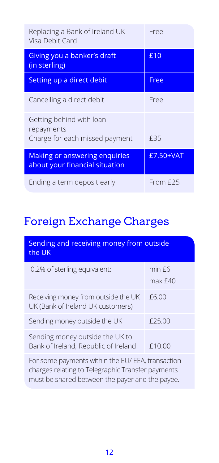| Replacing a Bank of Ireland UK<br>Visa Debit Card                        | Free      |
|--------------------------------------------------------------------------|-----------|
| Giving you a banker's draft<br>(in sterling)                             | £10       |
| Setting up a direct debit                                                | Free      |
| Cancelling a direct debit                                                | Free      |
| Getting behind with loan<br>repayments<br>Charge for each missed payment | £35       |
| <b>Making or answering enquiries</b><br>about your financial situation   | £7.50+VAT |
| Ending a term deposit early                                              | From £25  |

# Foreign Exchange Charges

| Sending and receiving money from outside<br>the UK                       |                   |  |
|--------------------------------------------------------------------------|-------------------|--|
| 0.2% of sterling equivalent:                                             | min f6<br>max f40 |  |
| Receiving money from outside the UK<br>UK (Bank of Ireland UK customers) | £6.00             |  |
| Sending money outside the UK                                             | £25.00            |  |
| Sending money outside the UK to<br>Bank of Ireland, Republic of Ireland  | £10.00            |  |
| For some payments within the EU/ EEA, transaction                        |                   |  |

For some payments within the EU/ EEA, transaction charges relating to Telegraphic Transfer payments must be shared between the payer and the payee.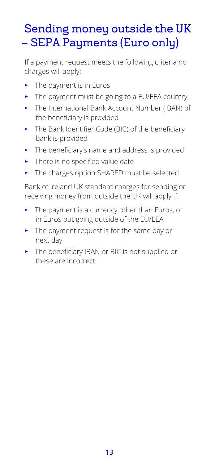# Sending money outside the UK – SEPA Payments (Euro only)

If a payment request meets the following criteria no charges will apply:

- $\blacktriangleright$  The payment is in Euros
- The payment must be going to a EU/EEA country
- The International Bank Account Number (IBAN) of the beneficiary is provided
- The Bank Identifier Code (BIC) of the beneficiary bank is provided
- The beneficiary's name and address is provided
- $\blacktriangleright$  There is no specified value date
- The charges option SHARED must be selected

Bank of Ireland UK standard charges for sending or receiving money from outside the UK will apply if:

- $\blacktriangleright$  The payment is a currency other than Euros, or in Euros but going outside of the EU/EEA
- The payment request is for the same day or next day
- The beneficiary IBAN or BIC is not supplied or these are incorrect.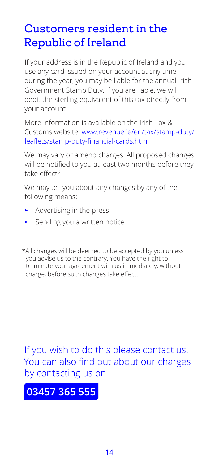### Customers resident in the Republic of Ireland

If your address is in the Republic of Ireland and you use any card issued on your account at any time during the year, you may be liable for the annual Irish Government Stamp Duty. If you are liable, we will debit the sterling equivalent of this tax directly from your account.

More information is available on the Irish Tax & Customs website: www.revenue.ie/en/tax/stamp-duty/ leaflets/stamp-duty-financial-cards.html

We may vary or amend charges. All proposed changes will be notified to you at least two months before they take effect\*

We may tell you about any changes by any of the following means:

- Advertising in the press
- Sending you a written notice

\*All changes will be deemed to be accepted by you unless you advise us to the contrary. You have the right to terminate your agreement with us immediately, without charge, before such changes take effect.

If you wish to do this please contact us. You can also find out about our charges by contacting us on